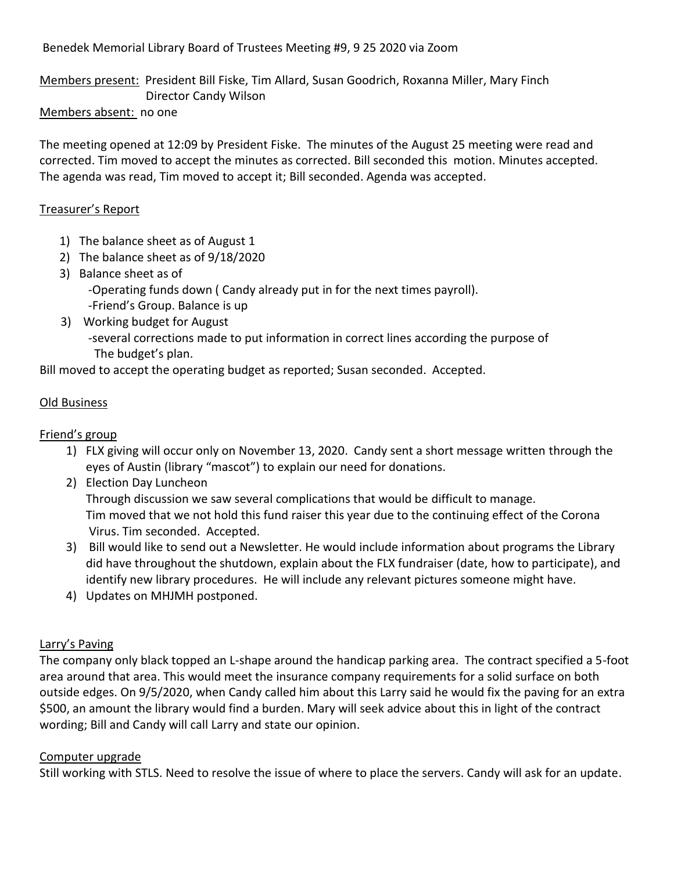Benedek Memorial Library Board of Trustees Meeting #9, 9 25 2020 via Zoom

Members present: President Bill Fiske, Tim Allard, Susan Goodrich, Roxanna Miller, Mary Finch Director Candy Wilson

# Members absent: no one

The meeting opened at 12:09 by President Fiske. The minutes of the August 25 meeting were read and corrected. Tim moved to accept the minutes as corrected. Bill seconded this motion. Minutes accepted. The agenda was read, Tim moved to accept it; Bill seconded. Agenda was accepted.

# Treasurer's Report

- 1) The balance sheet as of August 1
- 2) The balance sheet as of 9/18/2020
- 3) Balance sheet as of
	- -Operating funds down ( Candy already put in for the next times payroll).
	- -Friend's Group. Balance is up
- 3) Working budget for August
	- -several corrections made to put information in correct lines according the purpose of The budget's plan.

Bill moved to accept the operating budget as reported; Susan seconded. Accepted.

## Old Business

# Friend's group

- 1) FLX giving will occur only on November 13, 2020. Candy sent a short message written through the eyes of Austin (library "mascot") to explain our need for donations.
- 2) Election Day Luncheon Through discussion we saw several complications that would be difficult to manage. Tim moved that we not hold this fund raiser this year due to the continuing effect of the Corona Virus. Tim seconded. Accepted.
- 3) Bill would like to send out a Newsletter. He would include information about programs the Library did have throughout the shutdown, explain about the FLX fundraiser (date, how to participate), and identify new library procedures. He will include any relevant pictures someone might have.
- 4) Updates on MHJMH postponed.

## Larry's Paving

The company only black topped an L-shape around the handicap parking area. The contract specified a 5-foot area around that area. This would meet the insurance company requirements for a solid surface on both outside edges. On 9/5/2020, when Candy called him about this Larry said he would fix the paving for an extra \$500, an amount the library would find a burden. Mary will seek advice about this in light of the contract wording; Bill and Candy will call Larry and state our opinion.

## Computer upgrade

Still working with STLS. Need to resolve the issue of where to place the servers. Candy will ask for an update.